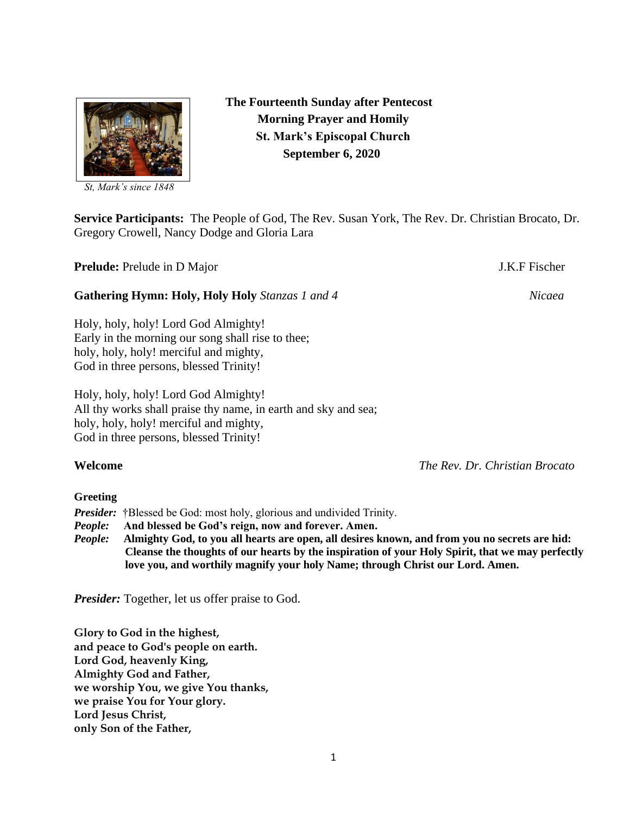

*St, Mark's since 1848*

 **The Fourteenth Sunday after Pentecost Morning Prayer and Homily St. Mark's Episcopal Church September 6, 2020**

**Service Participants:** The People of God, The Rev. Susan York, The Rev. Dr. Christian Brocato, Dr. Gregory Crowell, Nancy Dodge and Gloria Lara

| <b>Prelude:</b> Prelude in D Major                                                                                                                                            | J.K.F Fischer |
|-------------------------------------------------------------------------------------------------------------------------------------------------------------------------------|---------------|
| <b>Gathering Hymn: Holy, Holy Holy</b> Stanzas 1 and 4                                                                                                                        | Nicaea        |
| Holy, holy, holy! Lord God Almighty!<br>Early in the morning our song shall rise to thee;<br>holy, holy, holy! merciful and mighty,<br>God in three persons, blessed Trinity! |               |
| The leader healed I and Carl Alminked                                                                                                                                         |               |

Holy, holy, holy! Lord God Almighty! All thy works shall praise thy name, in earth and sky and sea; holy, holy, holy! merciful and mighty, God in three persons, blessed Trinity!

**Welcome** *The Rev. Dr. Christian Brocato*

# **Greeting**

*Presider:*†Blessed be God: most holy, glorious and undivided Trinity. *People:* **And blessed be God's reign, now and forever. Amen.** *People:* **Almighty God, to you all hearts are open, all desires known, and from you no secrets are hid: Cleanse the thoughts of our hearts by the inspiration of your Holy Spirit, that we may perfectly love you, and worthily magnify your holy Name; through Christ our Lord. Amen.**

*Presider:* Together, let us offer praise to God.

**Glory to God in the highest, and peace to God's people on earth. Lord God, heavenly King, Almighty God and Father, we worship You, we give You thanks, we praise You for Your glory. Lord Jesus Christ, only Son of the Father,**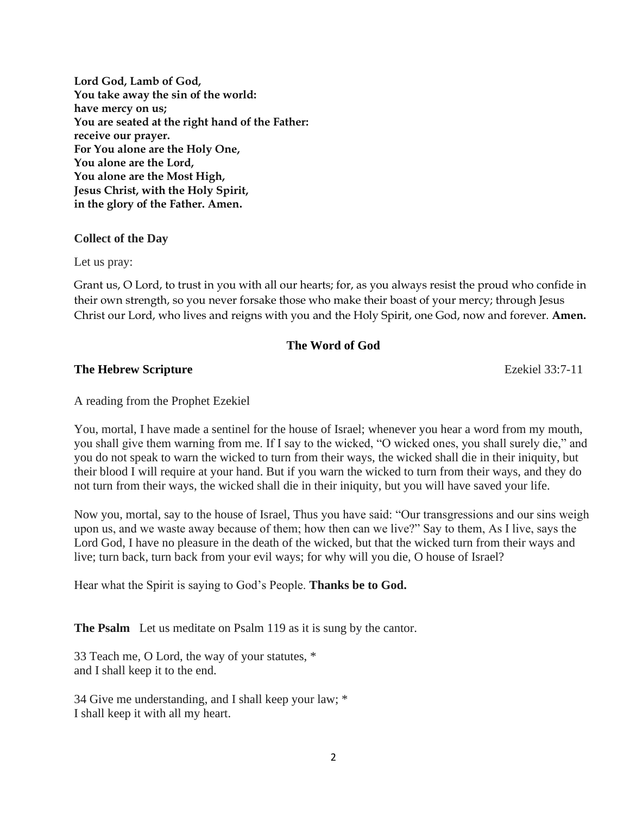**Lord God, Lamb of God, You take away the sin of the world: have mercy on us; You are seated at the right hand of the Father: receive our prayer. For You alone are the Holy One, You alone are the Lord, You alone are the Most High, Jesus Christ, with the Holy Spirit, in the glory of the Father. Amen.**

### **Collect of the Day**

Let us pray:

Grant us, O Lord, to trust in you with all our hearts; for, as you always resist the proud who confide in their own strength, so you never forsake those who make their boast of your mercy; through Jesus Christ our Lord, who lives and reigns with you and the Holy Spirit, one God, now and forever. **Amen.**

# **The Word of God**

## **The Hebrew Scripture Ezekiel 33:7-11**

A reading from the Prophet Ezekiel

You, mortal, I have made a sentinel for the house of Israel; whenever you hear a word from my mouth, you shall give them warning from me. If I say to the wicked, "O wicked ones, you shall surely die," and you do not speak to warn the wicked to turn from their ways, the wicked shall die in their iniquity, but their blood I will require at your hand. But if you warn the wicked to turn from their ways, and they do not turn from their ways, the wicked shall die in their iniquity, but you will have saved your life.

Now you, mortal, say to the house of Israel, Thus you have said: "Our transgressions and our sins weigh upon us, and we waste away because of them; how then can we live?" Say to them, As I live, says the Lord God, I have no pleasure in the death of the wicked, but that the wicked turn from their ways and live; turn back, turn back from your evil ways; for why will you die, O house of Israel?

Hear what the Spirit is saying to God's People. **Thanks be to God.**

**The Psalm** Let us meditate on Psalm 119 as it is sung by the cantor.

33 Teach me, O Lord, the way of your statutes, \* and I shall keep it to the end.

34 Give me understanding, and I shall keep your law; \* I shall keep it with all my heart.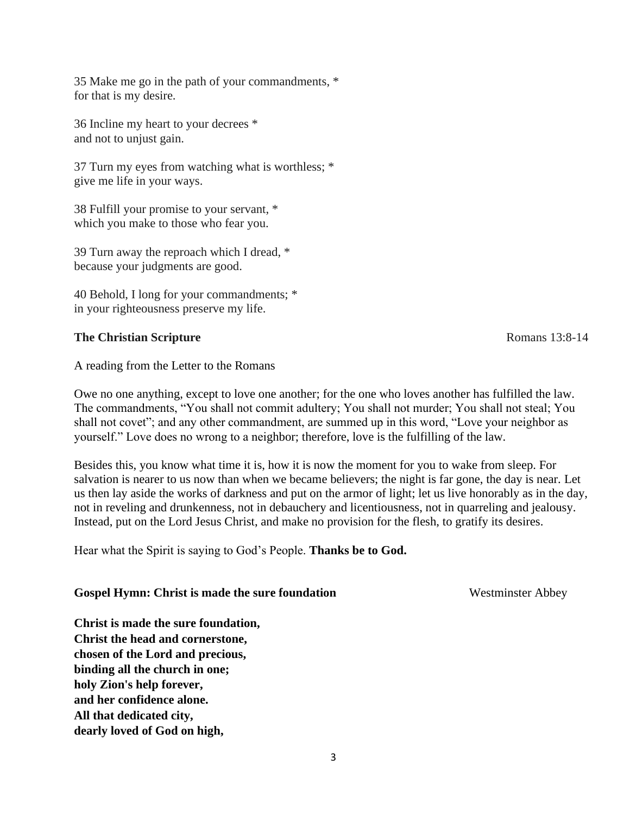35 Make me go in the path of your commandments, \* for that is my desire.

36 Incline my heart to your decrees \* and not to unjust gain.

37 Turn my eyes from watching what is worthless; \* give me life in your ways.

38 Fulfill your promise to your servant, \* which you make to those who fear you.

39 Turn away the reproach which I dread, \* because your judgments are good.

40 Behold, I long for your commandments; \* in your righteousness preserve my life.

# **The Christian Scripture** Romans 13:8-14

A reading from the Letter to the Romans

Owe no one anything, except to love one another; for the one who loves another has fulfilled the law. The commandments, "You shall not commit adultery; You shall not murder; You shall not steal; You shall not covet"; and any other commandment, are summed up in this word, "Love your neighbor as yourself." Love does no wrong to a neighbor; therefore, love is the fulfilling of the law.

Besides this, you know what time it is, how it is now the moment for you to wake from sleep. For salvation is nearer to us now than when we became believers; the night is far gone, the day is near. Let us then lay aside the works of darkness and put on the armor of light; let us live honorably as in the day, not in reveling and drunkenness, not in debauchery and licentiousness, not in quarreling and jealousy. Instead, put on the Lord Jesus Christ, and make no provision for the flesh, to gratify its desires.

Hear what the Spirit is saying to God's People. **Thanks be to God.**

# **Gospel Hymn: Christ is made the sure foundation Westminster Abbey**

**Christ is made the sure foundation, Christ the head and cornerstone, chosen of the Lord and precious, binding all the church in one; holy Zion's help forever, and her confidence alone. All that dedicated city, dearly loved of God on high,**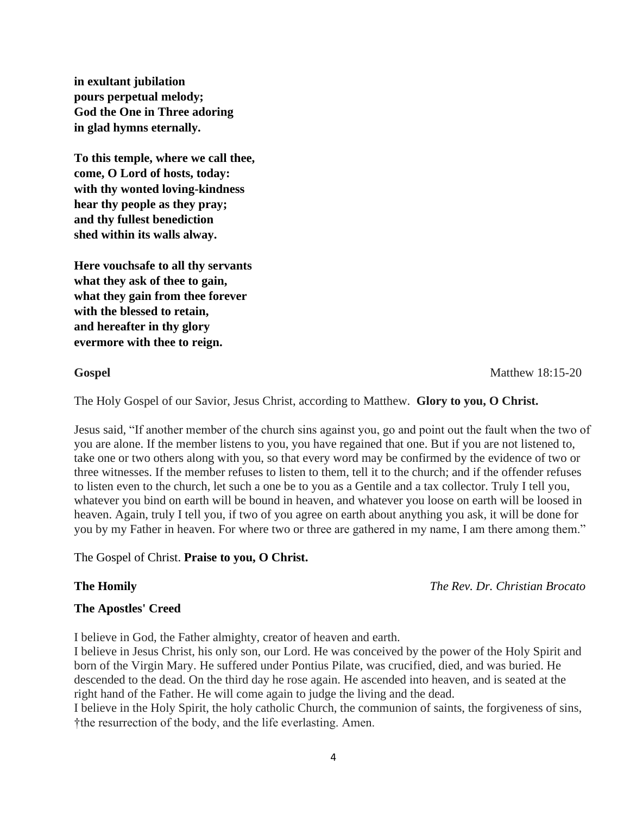**in exultant jubilation pours perpetual melody; God the One in Three adoring in glad hymns eternally.**

**To this temple, where we call thee, come, O Lord of hosts, today: with thy wonted loving-kindness hear thy people as they pray; and thy fullest benediction shed within its walls alway.**

**Here vouchsafe to all thy servants what they ask of thee to gain, what they gain from thee forever with the blessed to retain, and hereafter in thy glory evermore with thee to reign.**

**Gospel** Matthew 18:15-20

The Holy Gospel of our Savior, Jesus Christ, according to Matthew. **Glory to you, O Christ.**

Jesus said, "If another member of the church sins against you, go and point out the fault when the two of you are alone. If the member listens to you, you have regained that one. But if you are not listened to, take one or two others along with you, so that every word may be confirmed by the evidence of two or three witnesses. If the member refuses to listen to them, tell it to the church; and if the offender refuses to listen even to the church, let such a one be to you as a Gentile and a tax collector. Truly I tell you, whatever you bind on earth will be bound in heaven, and whatever you loose on earth will be loosed in heaven. Again, truly I tell you, if two of you agree on earth about anything you ask, it will be done for you by my Father in heaven. For where two or three are gathered in my name, I am there among them."

The Gospel of Christ. **Praise to you, O Christ.**

**The Homily** *The Rev. Dr. Christian Brocato*

# **The Apostles' Creed**

I believe in God, the Father almighty, creator of heaven and earth.

I believe in Jesus Christ, his only son, our Lord. He was conceived by the power of the Holy Spirit and born of the Virgin Mary. He suffered under Pontius Pilate, was crucified, died, and was buried. He descended to the dead. On the third day he rose again. He ascended into heaven, and is seated at the right hand of the Father. He will come again to judge the living and the dead.

I believe in the Holy Spirit, the holy catholic Church, the communion of saints, the forgiveness of sins, †the resurrection of the body, and the life everlasting. Amen.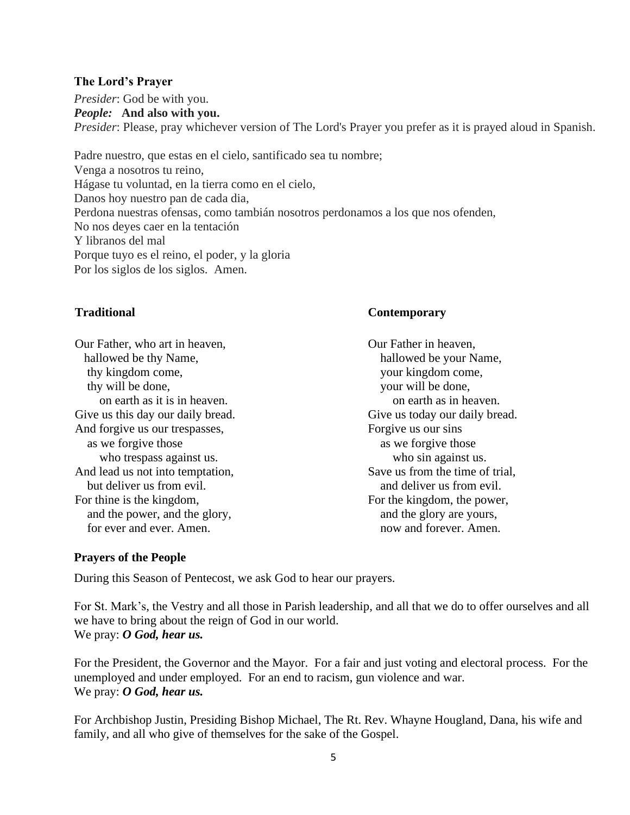### **The Lord's Prayer**

*Presider*: God be with you. *People:* **And also with you.** *Presider*: Please, pray whichever version of The Lord's Prayer you prefer as it is prayed aloud in Spanish.

Padre nuestro, que estas en el cielo, santificado sea tu nombre; Venga a nosotros tu reino, Hágase tu voluntad, en la tierra como en el cielo, Danos hoy nuestro pan de cada dia, Perdona nuestras ofensas, como tambián nosotros perdonamos a los que nos ofenden, No nos deyes caer en la tentación Y libranos del mal Porque tuyo es el reino, el poder, y la gloria Por los siglos de los siglos. Amen.

Our Father, who art in heaven, hallowed be thy Name, thy kingdom come, thy will be done, on earth as it is in heaven. Give us this day our daily bread. And forgive us our trespasses, as we forgive those who trespass against us. And lead us not into temptation, but deliver us from evil. For thine is the kingdom, and the power, and the glory, for ever and ever. Amen.

## **Traditional Contemporary**

Our Father in heaven, hallowed be your Name, your kingdom come, your will be done, on earth as in heaven. Give us today our daily bread. Forgive us our sins as we forgive those who sin against us. Save us from the time of trial, and deliver us from evil. For the kingdom, the power, and the glory are yours, now and forever. Amen.

### **Prayers of the People**

During this Season of Pentecost, we ask God to hear our prayers.

For St. Mark's, the Vestry and all those in Parish leadership, and all that we do to offer ourselves and all we have to bring about the reign of God in our world. We pray: *O God, hear us.*

For the President, the Governor and the Mayor. For a fair and just voting and electoral process. For the unemployed and under employed. For an end to racism, gun violence and war. We pray: *O God, hear us.*

For Archbishop Justin, Presiding Bishop Michael, The Rt. Rev. Whayne Hougland, Dana, his wife and family, and all who give of themselves for the sake of the Gospel.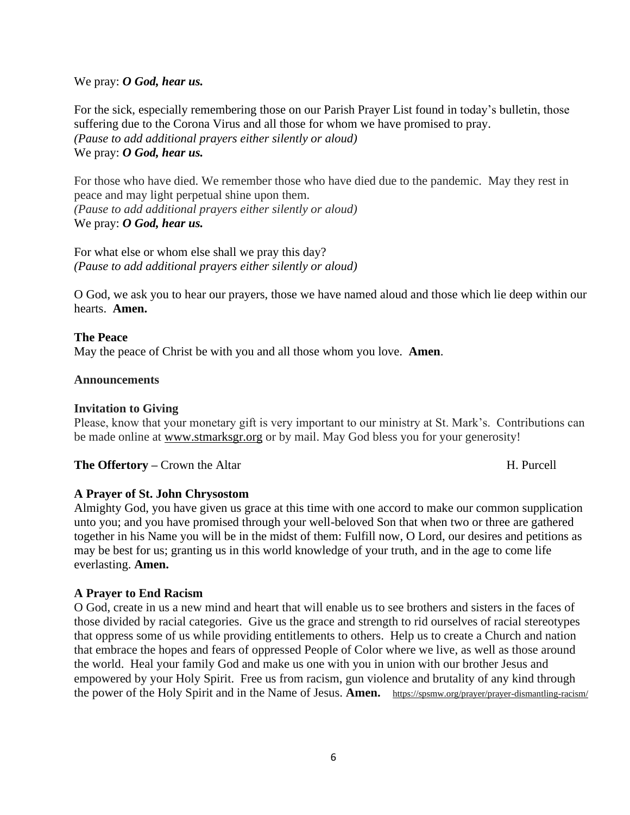#### We pray: *O God, hear us.*

For the sick, especially remembering those on our Parish Prayer List found in today's bulletin, those suffering due to the Corona Virus and all those for whom we have promised to pray. *(Pause to add additional prayers either silently or aloud)* We pray: *O God, hear us.*

For those who have died. We remember those who have died due to the pandemic. May they rest in peace and may light perpetual shine upon them. *(Pause to add additional prayers either silently or aloud)* We pray: *O God, hear us.*

For what else or whom else shall we pray this day? *(Pause to add additional prayers either silently or aloud)*

O God, we ask you to hear our prayers, those we have named aloud and those which lie deep within our hearts. **Amen.**

**The Peace** May the peace of Christ be with you and all those whom you love. **Amen**.

### **Announcements**

### **Invitation to Giving**

Please, know that your monetary gift is very important to our ministry at St. Mark's. Contributions can be made online at [www.stmarksgr.org](http://www.stmarksgr.org/) or by mail. May God bless you for your generosity!

**The Offertory** – Crown the Altar H. Purcell

### **A Prayer of St. John Chrysostom**

Almighty God, you have given us grace at this time with one accord to make our common supplication unto you; and you have promised through your well-beloved Son that when two or three are gathered together in his Name you will be in the midst of them: Fulfill now, O Lord, our desires and petitions as may be best for us; granting us in this world knowledge of your truth, and in the age to come life everlasting. **Amen.**

### **A Prayer to End Racism**

O God, create in us a new mind and heart that will enable us to see brothers and sisters in the faces of those divided by racial categories. Give us the grace and strength to rid ourselves of racial stereotypes that oppress some of us while providing entitlements to others. Help us to create a Church and nation that embrace the hopes and fears of oppressed People of Color where we live, as well as those around the world. Heal your family God and make us one with you in union with our brother Jesus and empowered by your Holy Spirit. Free us from racism, gun violence and brutality of any kind through the power of the Holy Spirit and in the Name of Jesus. **Amen.** <https://spsmw.org/prayer/prayer-dismantling-racism/>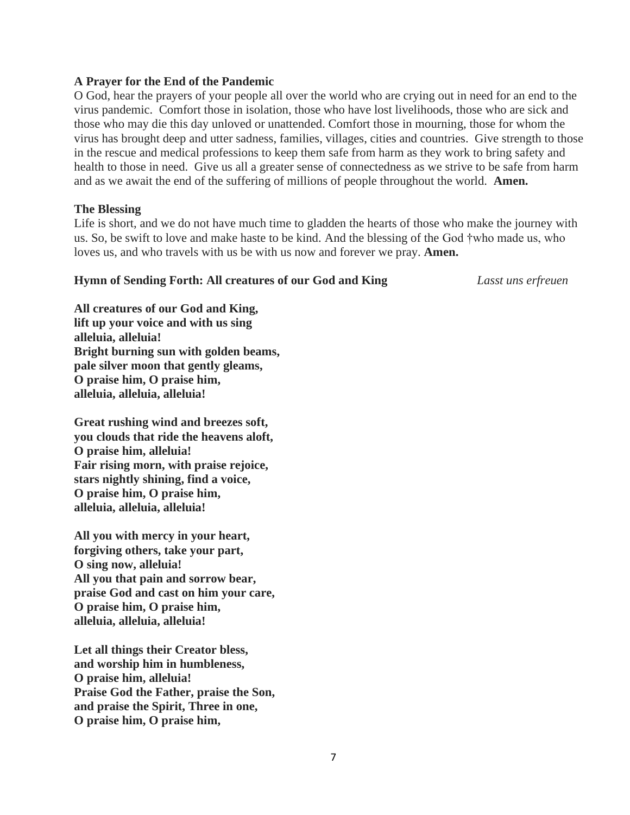#### **A Prayer for the End of the Pandemic**

O God, hear the prayers of your people all over the world who are crying out in need for an end to the virus pandemic. Comfort those in isolation, those who have lost livelihoods, those who are sick and those who may die this day unloved or unattended. Comfort those in mourning, those for whom the virus has brought deep and utter sadness, families, villages, cities and countries. Give strength to those in the rescue and medical professions to keep them safe from harm as they work to bring safety and health to those in need. Give us all a greater sense of connectedness as we strive to be safe from harm and as we await the end of the suffering of millions of people throughout the world. **Amen.**

### **The Blessing**

Life is short, and we do not have much time to gladden the hearts of those who make the journey with us. So, be swift to love and make haste to be kind. And the blessing of the God †who made us, who loves us, and who travels with us be with us now and forever we pray. **Amen.**

#### **Hymn of Sending Forth: All creatures of our God and King** *Lasst uns erfreuen*

**All creatures of our God and King, lift up your voice and with us sing alleluia, alleluia! Bright burning sun with golden beams, pale silver moon that gently gleams, O praise him, O praise him, alleluia, alleluia, alleluia!** 

**Great rushing wind and breezes soft, you clouds that ride the heavens aloft, O praise him, alleluia! Fair rising morn, with praise rejoice, stars nightly shining, find a voice, O praise him, O praise him, alleluia, alleluia, alleluia!** 

**All you with mercy in your heart, forgiving others, take your part, O sing now, alleluia! All you that pain and sorrow bear, praise God and cast on him your care, O praise him, O praise him, alleluia, alleluia, alleluia!** 

**Let all things their Creator bless, and worship him in humbleness, O praise him, alleluia! Praise God the Father, praise the Son, and praise the Spirit, Three in one, O praise him, O praise him,**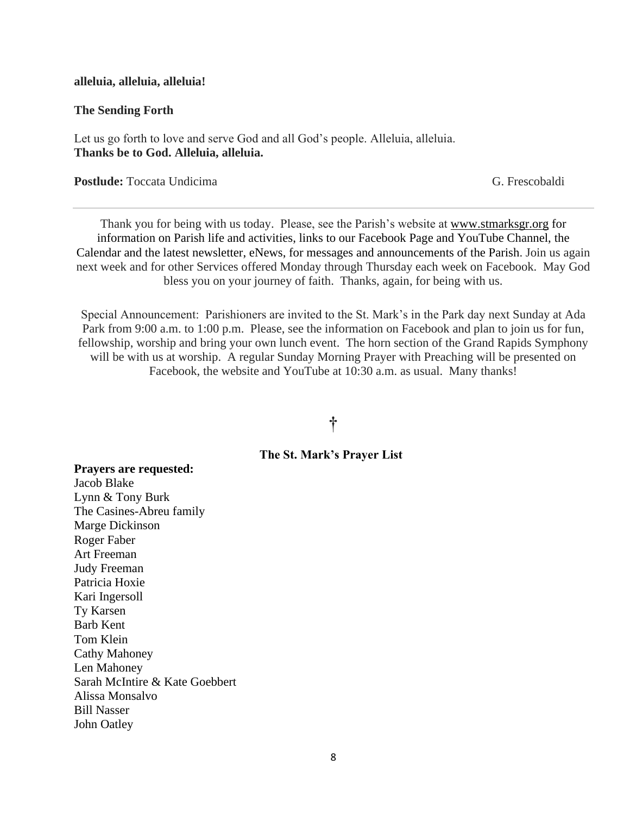**alleluia, alleluia, alleluia!**

#### **The Sending Forth**

Let us go forth to love and serve God and all God's people. Alleluia, alleluia. **Thanks be to God. Alleluia, alleluia.**

**Postlude:** Toccata Undicima G. Frescobaldi

Thank you for being with us today. Please, see the Parish's website at [www.stmarksgr.org](http://www.stmarksgr.org/) for information on Parish life and activities, links to our Facebook Page and YouTube Channel, the Calendar and the latest newsletter, eNews, for messages and announcements of the Parish. Join us again next week and for other Services offered Monday through Thursday each week on Facebook. May God bless you on your journey of faith. Thanks, again, for being with us.

Special Announcement: Parishioners are invited to the St. Mark's in the Park day next Sunday at Ada Park from 9:00 a.m. to 1:00 p.m. Please, see the information on Facebook and plan to join us for fun, fellowship, worship and bring your own lunch event. The horn section of the Grand Rapids Symphony will be with us at worship. A regular Sunday Morning Prayer with Preaching will be presented on Facebook, the website and YouTube at 10:30 a.m. as usual. Many thanks! 

# **†**

#### **The St. Mark's Prayer List**

**Prayers are requested:** Jacob Blake Lynn & Tony Burk The Casines-Abreu family Marge Dickinson Roger Faber Art Freeman Judy Freeman Patricia Hoxie Kari Ingersoll Ty Karsen Barb Kent Tom Klein Cathy Mahoney Len Mahoney Sarah McIntire & Kate Goebbert Alissa Monsalvo Bill Nasser John Oatley